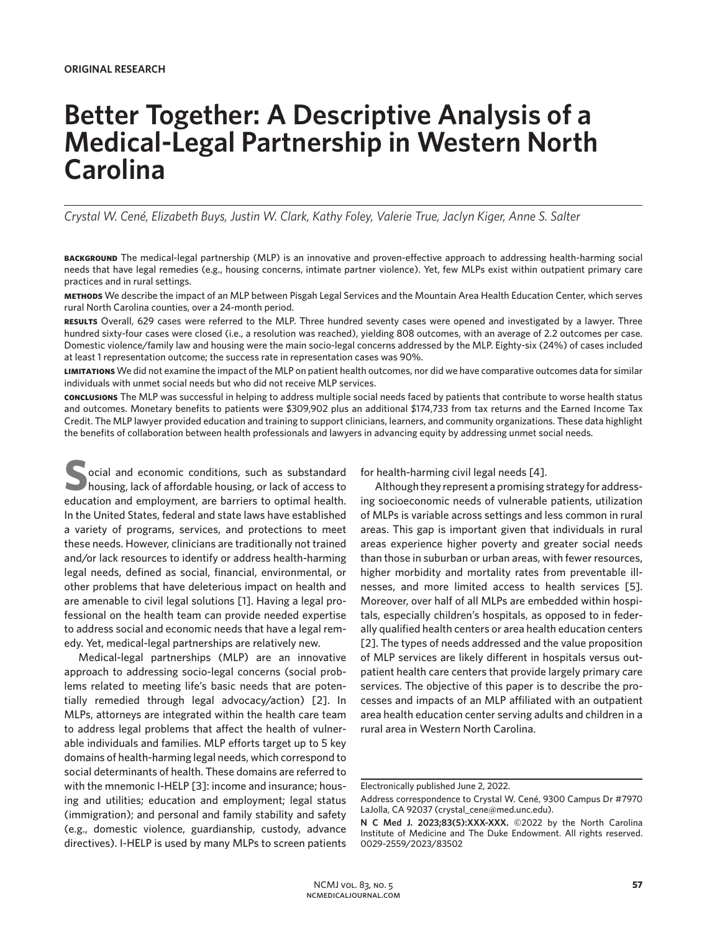# **Better Together: A Descriptive Analysis of a Medical-Legal Partnership in Western North Carolina**

*Crystal W. Cené, Elizabeth Buys, Justin W. Clark, Kathy Foley, Valerie True, Jaclyn Kiger, Anne S. Salter*

**background** The medical-legal partnership (MLP) is an innovative and proven-effective approach to addressing health-harming social needs that have legal remedies (e.g., housing concerns, intimate partner violence). Yet, few MLPs exist within outpatient primary care practices and in rural settings.

**methods** We describe the impact of an MLP between Pisgah Legal Services and the Mountain Area Health Education Center, which serves rural North Carolina counties, over a 24-month period.

**results** Overall, 629 cases were referred to the MLP. Three hundred seventy cases were opened and investigated by a lawyer. Three hundred sixty-four cases were closed (i.e., a resolution was reached), yielding 808 outcomes, with an average of 2.2 outcomes per case. Domestic violence/family law and housing were the main socio-legal concerns addressed by the MLP. Eighty-six (24%) of cases included at least 1 representation outcome; the success rate in representation cases was 90%.

**limitations** We did not examine the impact of the MLP on patient health outcomes, nor did we have comparative outcomes data for similar individuals with unmet social needs but who did not receive MLP services.

**conclusions** The MLP was successful in helping to address multiple social needs faced by patients that contribute to worse health status and outcomes. Monetary benefits to patients were \$309,902 plus an additional \$174,733 from tax returns and the Earned Income Tax Credit. The MLP lawyer provided education and training to support clinicians, learners, and community organizations. These data highlight the benefits of collaboration between health professionals and lawyers in advancing equity by addressing unmet social needs.

**Social and economic conditions, such as substandard housing, lack of affordable housing, or lack of access to a distribution and environment are howiver to entimed leadth.** education and employment, are barriers to optimal health. In the United States, federal and state laws have established a variety of programs, services, and protections to meet these needs. However, clinicians are traditionally not trained and/or lack resources to identify or address health-harming legal needs, defined as social, financial, environmental, or other problems that have deleterious impact on health and are amenable to civil legal solutions [1]. Having a legal professional on the health team can provide needed expertise to address social and economic needs that have a legal remedy. Yet, medical-legal partnerships are relatively new.

Medical-legal partnerships (MLP) are an innovative approach to addressing socio-legal concerns (social problems related to meeting life's basic needs that are potentially remedied through legal advocacy/action) [2]. In MLPs, attorneys are integrated within the health care team to address legal problems that affect the health of vulnerable individuals and families. MLP efforts target up to 5 key domains of health-harming legal needs, which correspond to social determinants of health. These domains are referred to with the mnemonic I-HELP [3]: income and insurance; housing and utilities; education and employment; legal status (immigration); and personal and family stability and safety (e.g., domestic violence, guardianship, custody, advance directives). I-HELP is used by many MLPs to screen patients

for health-harming civil legal needs [4].

Although they represent a promising strategy for addressing socioeconomic needs of vulnerable patients, utilization of MLPs is variable across settings and less common in rural areas. This gap is important given that individuals in rural areas experience higher poverty and greater social needs than those in suburban or urban areas, with fewer resources, higher morbidity and mortality rates from preventable illnesses, and more limited access to health services [5]. Moreover, over half of all MLPs are embedded within hospitals, especially children's hospitals, as opposed to in federally qualified health centers or area health education centers [2]. The types of needs addressed and the value proposition of MLP services are likely different in hospitals versus outpatient health care centers that provide largely primary care services. The objective of this paper is to describe the processes and impacts of an MLP affiliated with an outpatient area health education center serving adults and children in a rural area in Western North Carolina.

Electronically published June 2, 2022.

Address correspondence to Crystal W. Cené, 9300 Campus Dr #7970 LaJolla, CA 92037 (crystal\_cene@med.unc.edu).

**N C Med J. 2023;83(5):XXX-XXX.** ©2022 by the North Carolina Institute of Medicine and The Duke Endowment. All rights reserved. 0029-2559/2023/83502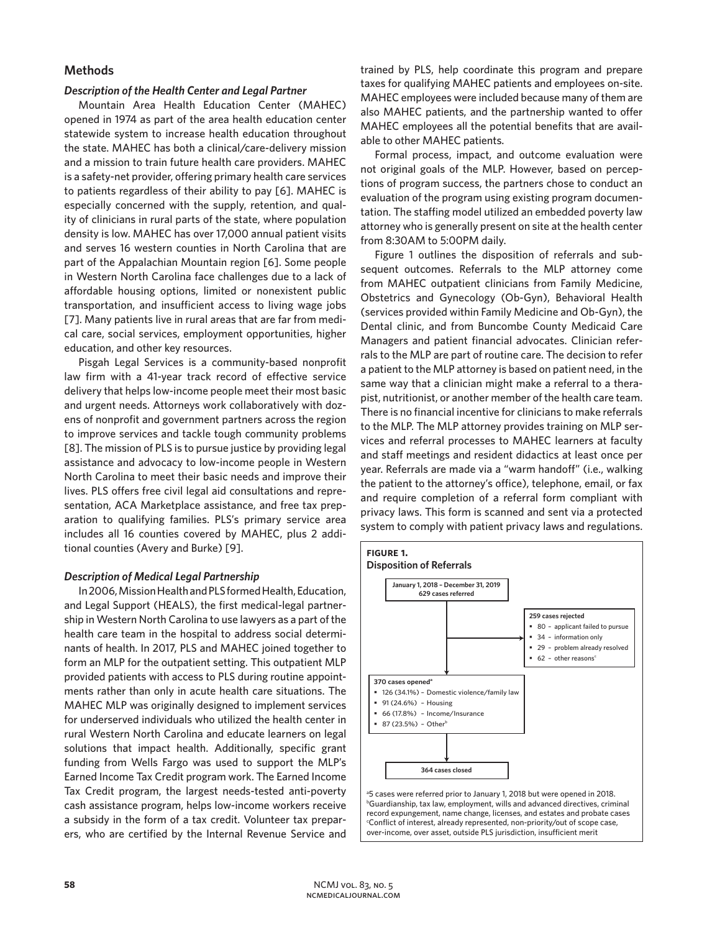# **Methods**

# *Description of the Health Center and Legal Partner*

Mountain Area Health Education Center (MAHEC) opened in 1974 as part of the area health education center statewide system to increase health education throughout the state. MAHEC has both a clinical/care-delivery mission and a mission to train future health care providers. MAHEC is a safety-net provider, offering primary health care services to patients regardless of their ability to pay [6]. MAHEC is especially concerned with the supply, retention, and quality of clinicians in rural parts of the state, where population density is low. MAHEC has over 17,000 annual patient visits and serves 16 western counties in North Carolina that are part of the Appalachian Mountain region [6]. Some people in Western North Carolina face challenges due to a lack of affordable housing options, limited or nonexistent public transportation, and insufficient access to living wage jobs [7]. Many patients live in rural areas that are far from medical care, social services, employment opportunities, higher education, and other key resources.

Pisgah Legal Services is a community-based nonprofit law firm with a 41-year track record of effective service delivery that helps low-income people meet their most basic and urgent needs. Attorneys work collaboratively with dozens of nonprofit and government partners across the region to improve services and tackle tough community problems [8]. The mission of PLS is to pursue justice by providing legal assistance and advocacy to low-income people in Western North Carolina to meet their basic needs and improve their lives. PLS offers free civil legal aid consultations and representation, ACA Marketplace assistance, and free tax preparation to qualifying families. PLS's primary service area includes all 16 counties covered by MAHEC, plus 2 additional counties (Avery and Burke) [9].

#### *Description of Medical Legal Partnership*

In 2006, Mission Health and PLS formed Health, Education, and Legal Support (HEALS), the first medical-legal partnership in Western North Carolina to use lawyers as a part of the health care team in the hospital to address social determinants of health. In 2017, PLS and MAHEC joined together to form an MLP for the outpatient setting. This outpatient MLP provided patients with access to PLS during routine appointments rather than only in acute health care situations. The MAHEC MLP was originally designed to implement services for underserved individuals who utilized the health center in rural Western North Carolina and educate learners on legal solutions that impact health. Additionally, specific grant funding from Wells Fargo was used to support the MLP's Earned Income Tax Credit program work. The Earned Income Tax Credit program, the largest needs-tested anti-poverty cash assistance program, helps low-income workers receive a subsidy in the form of a tax credit. Volunteer tax preparers, who are certified by the Internal Revenue Service and

trained by PLS, help coordinate this program and prepare taxes for qualifying MAHEC patients and employees on-site. MAHEC employees were included because many of them are also MAHEC patients, and the partnership wanted to offer MAHEC employees all the potential benefits that are available to other MAHEC patients.

Formal process, impact, and outcome evaluation were not original goals of the MLP. However, based on perceptions of program success, the partners chose to conduct an evaluation of the program using existing program documentation. The staffing model utilized an embedded poverty law attorney who is generally present on site at the health center from 8:30AM to 5:00PM daily.

Figure 1 outlines the disposition of referrals and subsequent outcomes. Referrals to the MLP attorney come from MAHEC outpatient clinicians from Family Medicine, Obstetrics and Gynecology (Ob-Gyn), Behavioral Health (services provided within Family Medicine and Ob-Gyn), the Dental clinic, and from Buncombe County Medicaid Care Managers and patient financial advocates. Clinician referrals to the MLP are part of routine care. The decision to refer a patient to the MLP attorney is based on patient need, in the same way that a clinician might make a referral to a therapist, nutritionist, or another member of the health care team. There is no financial incentive for clinicians to make referrals to the MLP. The MLP attorney provides training on MLP services and referral processes to MAHEC learners at faculty and staff meetings and resident didactics at least once per year. Referrals are made via a "warm handoff" (i.e., walking the patient to the attorney's office), telephone, email, or fax and require completion of a referral form compliant with privacy laws. This form is scanned and sent via a protected system to comply with patient privacy laws and regulations.



record expungement, name change, licenses, and estates and probate cases c Conflict of interest, already represented, non-priority/out of scope case, over-income, over asset, outside PLS jurisdiction, insufficient merit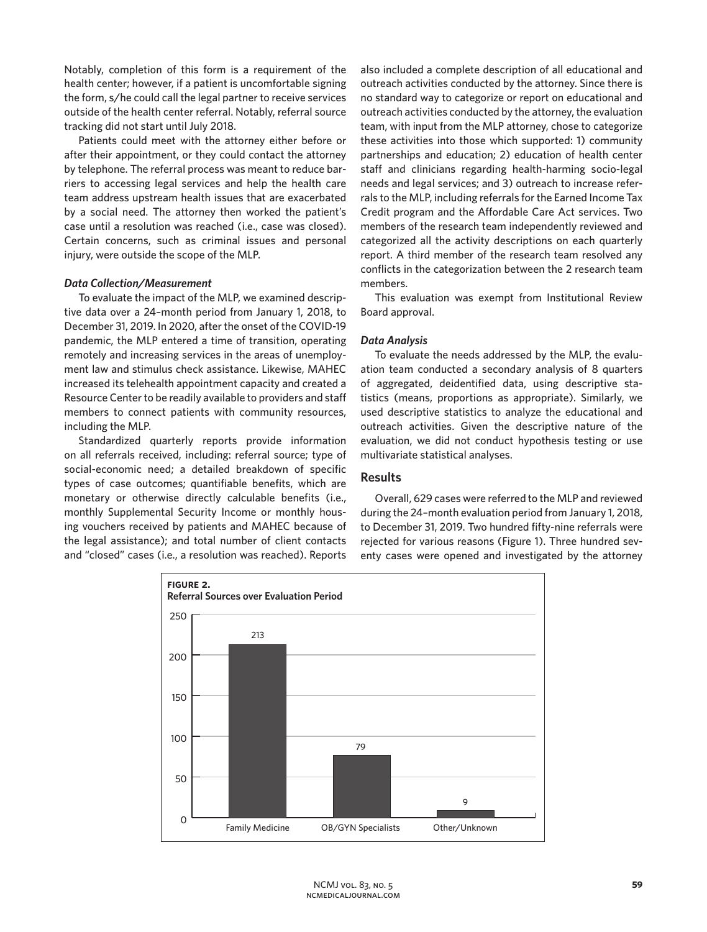Notably, completion of this form is a requirement of the health center; however, if a patient is uncomfortable signing the form, s/he could call the legal partner to receive services outside of the health center referral. Notably, referral source tracking did not start until July 2018.

Patients could meet with the attorney either before or after their appointment, or they could contact the attorney by telephone. The referral process was meant to reduce barriers to accessing legal services and help the health care team address upstream health issues that are exacerbated by a social need. The attorney then worked the patient's case until a resolution was reached (i.e., case was closed). Certain concerns, such as criminal issues and personal injury, were outside the scope of the MLP.

# *Data Collection/Measurement*

To evaluate the impact of the MLP, we examined descriptive data over a 24–month period from January 1, 2018, to December 31, 2019. In 2020, after the onset of the COVID-19 pandemic, the MLP entered a time of transition, operating remotely and increasing services in the areas of unemployment law and stimulus check assistance. Likewise, MAHEC increased its telehealth appointment capacity and created a Resource Center to be readily available to providers and staff members to connect patients with community resources, including the MLP.

Standardized quarterly reports provide information on all referrals received, including: referral source; type of social-economic need; a detailed breakdown of specific types of case outcomes; quantifiable benefits, which are monetary or otherwise directly calculable benefits (i.e., monthly Supplemental Security Income or monthly housing vouchers received by patients and MAHEC because of the legal assistance); and total number of client contacts and "closed" cases (i.e., a resolution was reached). Reports also included a complete description of all educational and outreach activities conducted by the attorney. Since there is no standard way to categorize or report on educational and outreach activities conducted by the attorney, the evaluation team, with input from the MLP attorney, chose to categorize these activities into those which supported: 1) community partnerships and education; 2) education of health center staff and clinicians regarding health-harming socio-legal needs and legal services; and 3) outreach to increase referrals to the MLP, including referrals for the Earned Income Tax Credit program and the Affordable Care Act services. Two members of the research team independently reviewed and categorized all the activity descriptions on each quarterly report. A third member of the research team resolved any conflicts in the categorization between the 2 research team members.

This evaluation was exempt from Institutional Review Board approval.

# *Data Analysis*

To evaluate the needs addressed by the MLP, the evaluation team conducted a secondary analysis of 8 quarters of aggregated, deidentified data, using descriptive statistics (means, proportions as appropriate). Similarly, we used descriptive statistics to analyze the educational and outreach activities. Given the descriptive nature of the evaluation, we did not conduct hypothesis testing or use multivariate statistical analyses.

# **Results**

Overall, 629 cases were referred to the MLP and reviewed during the 24–month evaluation period from January 1, 2018, to December 31, 2019. Two hundred fifty-nine referrals were rejected for various reasons (Figure 1). Three hundred seventy cases were opened and investigated by the attorney

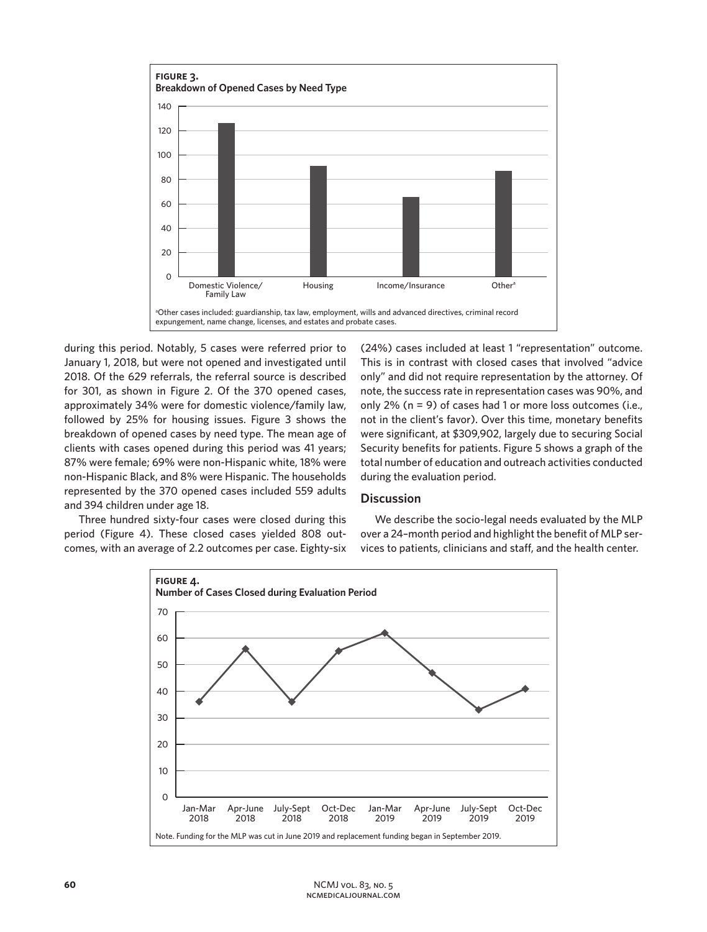

during this period. Notably, 5 cases were referred prior to January 1, 2018, but were not opened and investigated until 2018. Of the 629 referrals, the referral source is described for 301, as shown in Figure 2. Of the 370 opened cases, approximately 34% were for domestic violence/family law, followed by 25% for housing issues. Figure 3 shows the breakdown of opened cases by need type. The mean age of clients with cases opened during this period was 41 years; 87% were female; 69% were non-Hispanic white, 18% were non-Hispanic Black, and 8% were Hispanic. The households represented by the 370 opened cases included 559 adults and 394 children under age 18.

Three hundred sixty-four cases were closed during this period (Figure 4). These closed cases yielded 808 outcomes, with an average of 2.2 outcomes per case. Eighty-six (24%) cases included at least 1 "representation" outcome. This is in contrast with closed cases that involved "advice only" and did not require representation by the attorney. Of note, the success rate in representation cases was 90%, and only 2% (n = 9) of cases had 1 or more loss outcomes (i.e., not in the client's favor). Over this time, monetary benefits were significant, at \$309,902, largely due to securing Social Security benefits for patients. Figure 5 shows a graph of the total number of education and outreach activities conducted during the evaluation period.

# **Discussion**

We describe the socio-legal needs evaluated by the MLP over a 24–month period and highlight the benefit of MLP services to patients, clinicians and staff, and the health center.

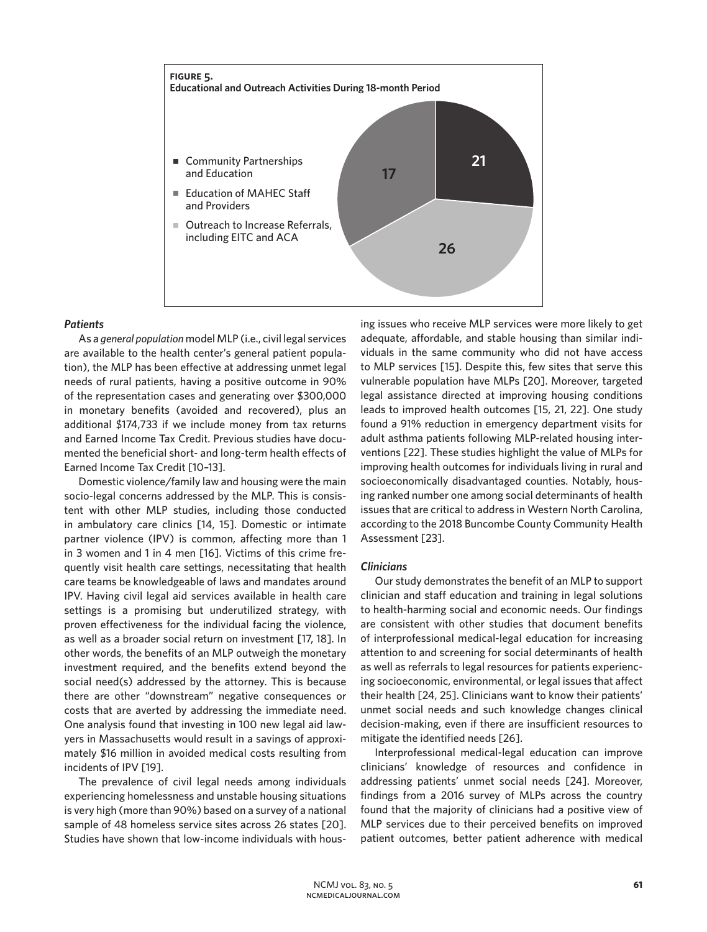

#### *Patients*

As a *general population* model MLP (i.e., civil legal services are available to the health center's general patient population), the MLP has been effective at addressing unmet legal needs of rural patients, having a positive outcome in 90% of the representation cases and generating over \$300,000 in monetary benefits (avoided and recovered), plus an additional \$174,733 if we include money from tax returns and Earned Income Tax Credit. Previous studies have documented the beneficial short- and long-term health effects of Earned Income Tax Credit [10–13].

Domestic violence/family law and housing were the main socio-legal concerns addressed by the MLP. This is consistent with other MLP studies, including those conducted in ambulatory care clinics [14, 15]. Domestic or intimate partner violence (IPV) is common, affecting more than 1 in 3 women and 1 in 4 men [16]. Victims of this crime frequently visit health care settings, necessitating that health care teams be knowledgeable of laws and mandates around IPV. Having civil legal aid services available in health care settings is a promising but underutilized strategy, with proven effectiveness for the individual facing the violence, as well as a broader social return on investment [17, 18]. In other words, the benefits of an MLP outweigh the monetary investment required, and the benefits extend beyond the social need(s) addressed by the attorney. This is because there are other "downstream" negative consequences or costs that are averted by addressing the immediate need. One analysis found that investing in 100 new legal aid lawyers in Massachusetts would result in a savings of approximately \$16 million in avoided medical costs resulting from incidents of IPV [19].

The prevalence of civil legal needs among individuals experiencing homelessness and unstable housing situations is very high (more than 90%) based on a survey of a national sample of 48 homeless service sites across 26 states [20]. Studies have shown that low-income individuals with housing issues who receive MLP services were more likely to get adequate, affordable, and stable housing than similar individuals in the same community who did not have access to MLP services [15]. Despite this, few sites that serve this vulnerable population have MLPs [20]. Moreover, targeted legal assistance directed at improving housing conditions leads to improved health outcomes [15, 21, 22]. One study found a 91% reduction in emergency department visits for adult asthma patients following MLP-related housing interventions [22]. These studies highlight the value of MLPs for improving health outcomes for individuals living in rural and socioeconomically disadvantaged counties. Notably, housing ranked number one among social determinants of health issues that are critical to address in Western North Carolina, according to the 2018 Buncombe County Community Health Assessment [23].

# *Clinicians*

Our study demonstrates the benefit of an MLP to support clinician and staff education and training in legal solutions to health-harming social and economic needs. Our findings are consistent with other studies that document benefits of interprofessional medical-legal education for increasing attention to and screening for social determinants of health as well as referrals to legal resources for patients experiencing socioeconomic, environmental, or legal issues that affect their health [24, 25]. Clinicians want to know their patients' unmet social needs and such knowledge changes clinical decision-making, even if there are insufficient resources to mitigate the identified needs [26].

Interprofessional medical-legal education can improve clinicians' knowledge of resources and confidence in addressing patients' unmet social needs [24]. Moreover, findings from a 2016 survey of MLPs across the country found that the majority of clinicians had a positive view of MLP services due to their perceived benefits on improved patient outcomes, better patient adherence with medical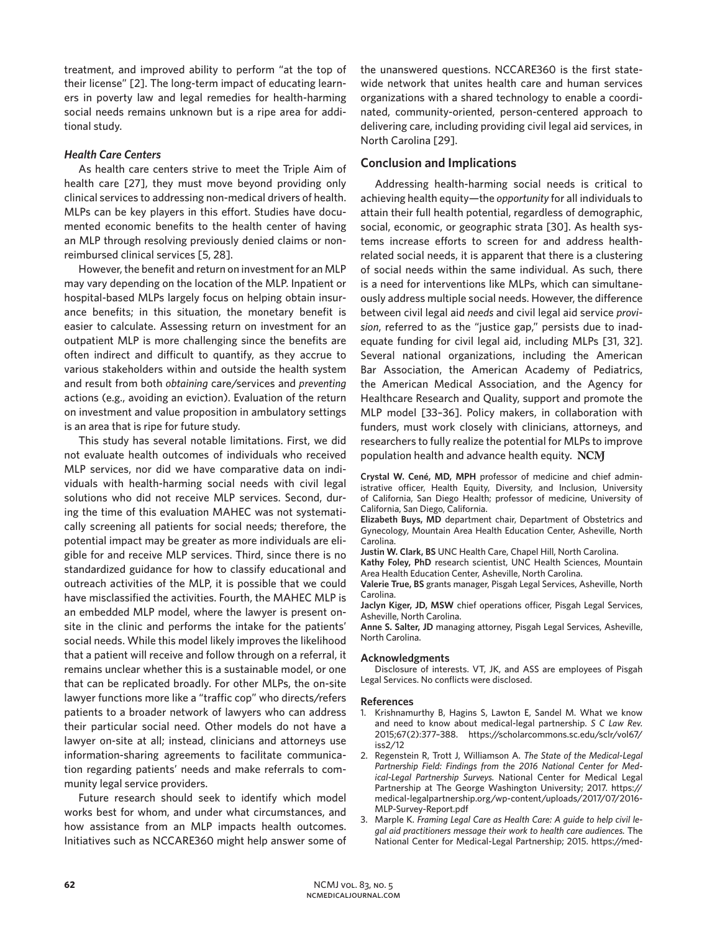treatment, and improved ability to perform "at the top of their license" [2]. The long-term impact of educating learners in poverty law and legal remedies for health-harming social needs remains unknown but is a ripe area for additional study.

# *Health Care Centers*

As health care centers strive to meet the Triple Aim of health care [27], they must move beyond providing only clinical services to addressing non-medical drivers of health. MLPs can be key players in this effort. Studies have documented economic benefits to the health center of having an MLP through resolving previously denied claims or nonreimbursed clinical services [5, 28].

However, the benefit and return on investment for an MLP may vary depending on the location of the MLP. Inpatient or hospital-based MLPs largely focus on helping obtain insurance benefits; in this situation, the monetary benefit is easier to calculate. Assessing return on investment for an outpatient MLP is more challenging since the benefits are often indirect and difficult to quantify, as they accrue to various stakeholders within and outside the health system and result from both *obtaining* care/services and *preventing* actions (e.g., avoiding an eviction). Evaluation of the return on investment and value proposition in ambulatory settings is an area that is ripe for future study.

This study has several notable limitations. First, we did not evaluate health outcomes of individuals who received MLP services, nor did we have comparative data on individuals with health-harming social needs with civil legal solutions who did not receive MLP services. Second, during the time of this evaluation MAHEC was not systematically screening all patients for social needs; therefore, the potential impact may be greater as more individuals are eligible for and receive MLP services. Third, since there is no standardized guidance for how to classify educational and outreach activities of the MLP, it is possible that we could have misclassified the activities. Fourth, the MAHEC MLP is an embedded MLP model, where the lawyer is present onsite in the clinic and performs the intake for the patients' social needs. While this model likely improves the likelihood that a patient will receive and follow through on a referral, it remains unclear whether this is a sustainable model, or one that can be replicated broadly. For other MLPs, the on-site lawyer functions more like a "traffic cop" who directs/refers patients to a broader network of lawyers who can address their particular social need. Other models do not have a lawyer on-site at all; instead, clinicians and attorneys use information-sharing agreements to facilitate communication regarding patients' needs and make referrals to community legal service providers.

Future research should seek to identify which model works best for whom, and under what circumstances, and how assistance from an MLP impacts health outcomes. Initiatives such as NCCARE360 might help answer some of the unanswered questions. NCCARE360 is the first statewide network that unites health care and human services organizations with a shared technology to enable a coordinated, community-oriented, person-centered approach to delivering care, including providing civil legal aid services, in North Carolina [29].

# **Conclusion and Implications**

Addressing health-harming social needs is critical to achieving health equity—the *opportunity* for all individuals to attain their full health potential, regardless of demographic, social, economic, or geographic strata [30]. As health systems increase efforts to screen for and address healthrelated social needs, it is apparent that there is a clustering of social needs within the same individual. As such, there is a need for interventions like MLPs, which can simultaneously address multiple social needs. However, the difference between civil legal aid *needs* and civil legal aid service *provision*, referred to as the "justice gap," persists due to inadequate funding for civil legal aid, including MLPs [31, 32]. Several national organizations, including the American Bar Association, the American Academy of Pediatrics, the American Medical Association, and the Agency for Healthcare Research and Quality, support and promote the MLP model [33–36]. Policy makers, in collaboration with funders, must work closely with clinicians, attorneys, and researchers to fully realize the potential for MLPs to improve population health and advance health equity.

**Crystal W. Cené, MD, MPH** professor of medicine and chief administrative officer, Health Equity, Diversity, and Inclusion, University of California, San Diego Health; professor of medicine, University of California, San Diego, California.

**Elizabeth Buys, MD** department chair, Department of Obstetrics and Gynecology, Mountain Area Health Education Center, Asheville, North Carolina.

**Justin W. Clark, BS** UNC Health Care, Chapel Hill, North Carolina.

**Kathy Foley, PhD** research scientist, UNC Health Sciences, Mountain Area Health Education Center, Asheville, North Carolina.

**Valerie True, BS** grants manager, Pisgah Legal Services, Asheville, North Carolina.

**Jaclyn Kiger, JD, MSW** chief operations officer, Pisgah Legal Services, Asheville, North Carolina.

**Anne S. Salter, JD** managing attorney, Pisgah Legal Services, Asheville, North Carolina.

#### **Acknowledgments**

Disclosure of interests. VT, JK, and ASS are employees of Pisgah Legal Services. No conflicts were disclosed.

#### **References**

- 1. Krishnamurthy B, Hagins S, Lawton E, Sandel M. What we know and need to know about medical-legal partnership. *S C Law Rev.*  2015;67(2):377–388. https://scholarcommons.sc.edu/sclr/vol67/ iss2/12
- 2. Regenstein R, Trott J, Williamson A. *The State of the Medical-Legal Partnership Field: Findings from the 2016 National Center for Medical-Legal Partnership Surveys.* National Center for Medical Legal Partnership at The George Washington University; 2017. https:// medical-legalpartnership.org/wp-content/uploads/2017/07/2016- MLP-Survey-Report.pdf
- 3. Marple K. *Framing Legal Care as Health Care: A guide to help civil legal aid practitioners message their work to health care audiences.* The National Center for Medical-Legal Partnership; 2015. https://med-